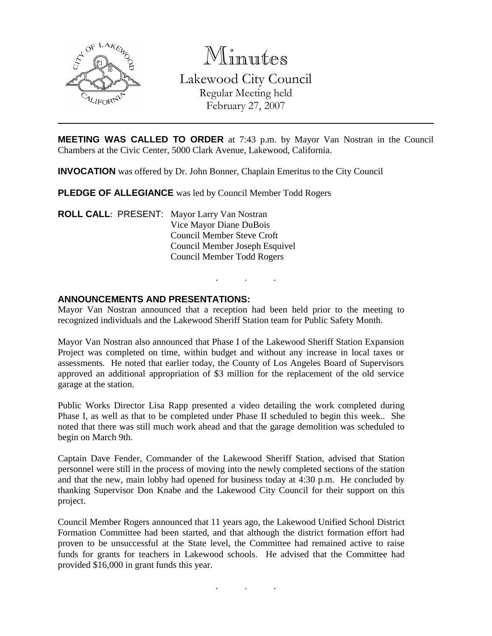

Minutes

Lakewood City Council Regular Meeting held February 27, 2007

**MEETING WAS CALLED TO ORDER** at 7:43 p.m. by Mayor Van Nostran in the Council Chambers at the Civic Center, 5000 Clark Avenue, Lakewood, California.

**INVOCATION** was offered by Dr. John Bonner, Chaplain Emeritus to the City Council

**PLEDGE OF ALLEGIANCE** was led by Council Member Todd Rogers

**ROLL CALL**: PRESENT: Mayor Larry Van Nostran Vice Mayor Diane DuBois Council Member Steve Croft Council Member Joseph Esquivel Council Member Todd Rogers

## **ANNOUNCEMENTS AND PRESENTATIONS:**

Mayor Van Nostran announced that a reception had been held prior to the meeting to recognized individuals and the Lakewood Sheriff Station team for Public Safety Month.

. . .

Mayor Van Nostran also announced that Phase I of the Lakewood Sheriff Station Expansion Project was completed on time, within budget and without any increase in local taxes or assessments. He noted that earlier today, the County of Los Angeles Board of Supervisors approved an additional appropriation of \$3 million for the replacement of the old service garage at the station.

Public Works Director Lisa Rapp presented a video detailing the work completed during Phase I, as well as that to be completed under Phase II scheduled to begin this week.. She noted that there was still much work ahead and that the garage demolition was scheduled to begin on March 9th.

Captain Dave Fender, Commander of the Lakewood Sheriff Station, advised that Station personnel were still in the process of moving into the newly completed sections of the station and that the new, main lobby had opened for business today at 4:30 p.m. He concluded by thanking Supervisor Don Knabe and the Lakewood City Council for their support on this project.

Council Member Rogers announced that 11 years ago, the Lakewood Unified School District Formation Committee had been started, and that although the district formation effort had proven to be unsuccessful at the State level, the Committee had remained active to raise funds for grants for teachers in Lakewood schools. He advised that the Committee had provided \$16,000 in grant funds this year.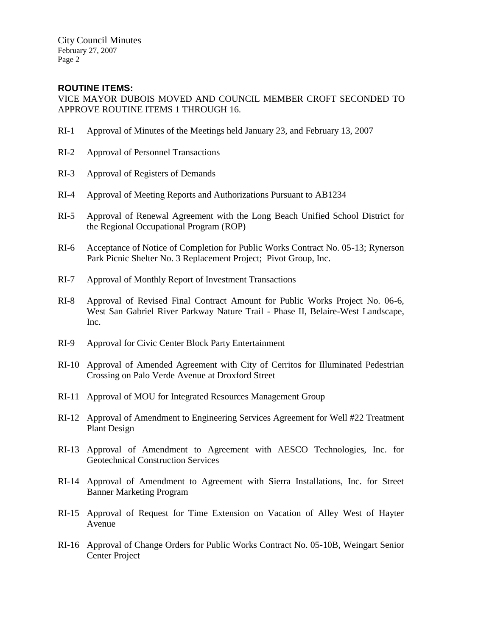## **ROUTINE ITEMS:**

VICE MAYOR DUBOIS MOVED AND COUNCIL MEMBER CROFT SECONDED TO APPROVE ROUTINE ITEMS 1 THROUGH 16.

- RI-1 Approval of Minutes of the Meetings held January 23, and February 13, 2007
- RI-2 Approval of Personnel Transactions
- RI-3 Approval of Registers of Demands
- RI-4 Approval of Meeting Reports and Authorizations Pursuant to AB1234
- RI-5 Approval of Renewal Agreement with the Long Beach Unified School District for the Regional Occupational Program (ROP)
- RI-6 Acceptance of Notice of Completion for Public Works Contract No. 05-13; Rynerson Park Picnic Shelter No. 3 Replacement Project; Pivot Group, Inc.
- RI-7 Approval of Monthly Report of Investment Transactions
- RI-8 Approval of Revised Final Contract Amount for Public Works Project No. 06-6, West San Gabriel River Parkway Nature Trail - Phase II, Belaire-West Landscape, Inc.
- RI-9 Approval for Civic Center Block Party Entertainment
- RI-10 Approval of Amended Agreement with City of Cerritos for Illuminated Pedestrian Crossing on Palo Verde Avenue at Droxford Street
- RI-11 Approval of MOU for Integrated Resources Management Group
- RI-12 Approval of Amendment to Engineering Services Agreement for Well #22 Treatment Plant Design
- RI-13 Approval of Amendment to Agreement with AESCO Technologies, Inc. for Geotechnical Construction Services
- RI-14 Approval of Amendment to Agreement with Sierra Installations, Inc. for Street Banner Marketing Program
- RI-15 Approval of Request for Time Extension on Vacation of Alley West of Hayter Avenue
- RI-16 Approval of Change Orders for Public Works Contract No. 05-10B, Weingart Senior Center Project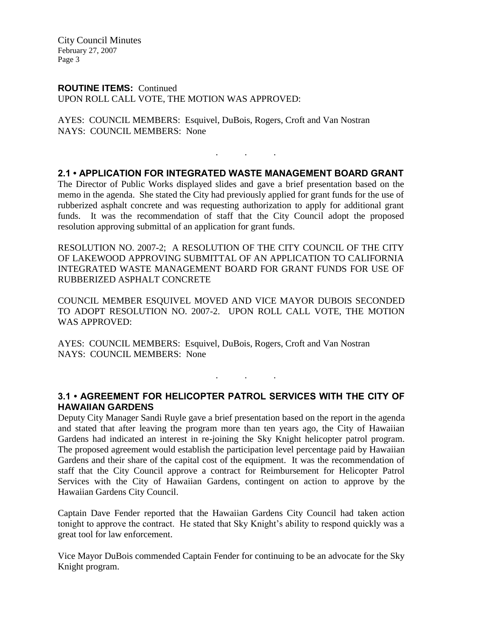### **ROUTINE ITEMS:** Continued

UPON ROLL CALL VOTE, THE MOTION WAS APPROVED:

AYES: COUNCIL MEMBERS: Esquivel, DuBois, Rogers, Croft and Van Nostran NAYS: COUNCIL MEMBERS: None

## **2.1 • APPLICATION FOR INTEGRATED WASTE MANAGEMENT BOARD GRANT**

. . .

The Director of Public Works displayed slides and gave a brief presentation based on the memo in the agenda. She stated the City had previously applied for grant funds for the use of rubberized asphalt concrete and was requesting authorization to apply for additional grant funds. It was the recommendation of staff that the City Council adopt the proposed resolution approving submittal of an application for grant funds.

RESOLUTION NO. 2007-2; A RESOLUTION OF THE CITY COUNCIL OF THE CITY OF LAKEWOOD APPROVING SUBMITTAL OF AN APPLICATION TO CALIFORNIA INTEGRATED WASTE MANAGEMENT BOARD FOR GRANT FUNDS FOR USE OF RUBBERIZED ASPHALT CONCRETE

COUNCIL MEMBER ESQUIVEL MOVED AND VICE MAYOR DUBOIS SECONDED TO ADOPT RESOLUTION NO. 2007-2. UPON ROLL CALL VOTE, THE MOTION WAS APPROVED:

AYES: COUNCIL MEMBERS: Esquivel, DuBois, Rogers, Croft and Van Nostran NAYS: COUNCIL MEMBERS: None

## **3.1 • AGREEMENT FOR HELICOPTER PATROL SERVICES WITH THE CITY OF HAWAIIAN GARDENS**

. . .

Deputy City Manager Sandi Ruyle gave a brief presentation based on the report in the agenda and stated that after leaving the program more than ten years ago, the City of Hawaiian Gardens had indicated an interest in re-joining the Sky Knight helicopter patrol program. The proposed agreement would establish the participation level percentage paid by Hawaiian Gardens and their share of the capital cost of the equipment. It was the recommendation of staff that the City Council approve a contract for Reimbursement for Helicopter Patrol Services with the City of Hawaiian Gardens, contingent on action to approve by the Hawaiian Gardens City Council.

Captain Dave Fender reported that the Hawaiian Gardens City Council had taken action tonight to approve the contract. He stated that Sky Knight's ability to respond quickly was a great tool for law enforcement.

Vice Mayor DuBois commended Captain Fender for continuing to be an advocate for the Sky Knight program.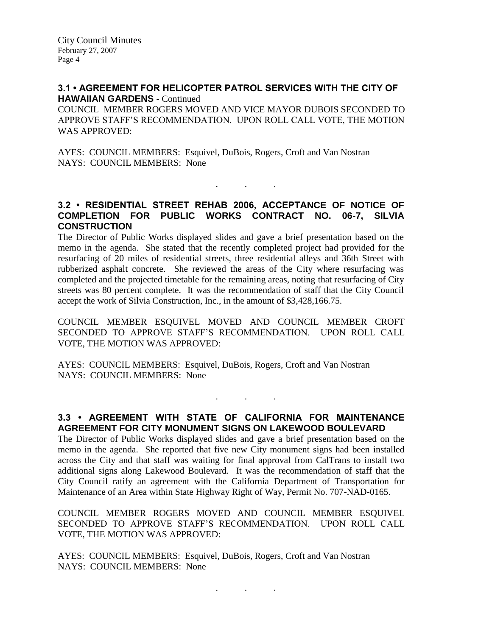#### **3.1 • AGREEMENT FOR HELICOPTER PATROL SERVICES WITH THE CITY OF HAWAIIAN GARDENS** - Continued

COUNCIL MEMBER ROGERS MOVED AND VICE MAYOR DUBOIS SECONDED TO APPROVE STAFF'S RECOMMENDATION. UPON ROLL CALL VOTE, THE MOTION WAS APPROVED:

AYES: COUNCIL MEMBERS: Esquivel, DuBois, Rogers, Croft and Van Nostran NAYS: COUNCIL MEMBERS: None

## **3.2 • RESIDENTIAL STREET REHAB 2006, ACCEPTANCE OF NOTICE OF COMPLETION FOR PUBLIC WORKS CONTRACT NO. 06-7, SILVIA CONSTRUCTION**

. . .

The Director of Public Works displayed slides and gave a brief presentation based on the memo in the agenda. She stated that the recently completed project had provided for the resurfacing of 20 miles of residential streets, three residential alleys and 36th Street with rubberized asphalt concrete. She reviewed the areas of the City where resurfacing was completed and the projected timetable for the remaining areas, noting that resurfacing of City streets was 80 percent complete. It was the recommendation of staff that the City Council accept the work of Silvia Construction, Inc., in the amount of \$3,428,166.75.

COUNCIL MEMBER ESQUIVEL MOVED AND COUNCIL MEMBER CROFT SECONDED TO APPROVE STAFF'S RECOMMENDATION. UPON ROLL CALL VOTE, THE MOTION WAS APPROVED:

AYES: COUNCIL MEMBERS: Esquivel, DuBois, Rogers, Croft and Van Nostran NAYS: COUNCIL MEMBERS: None

# **3.3 • AGREEMENT WITH STATE OF CALIFORNIA FOR MAINTENANCE AGREEMENT FOR CITY MONUMENT SIGNS ON LAKEWOOD BOULEVARD**

. . .

The Director of Public Works displayed slides and gave a brief presentation based on the memo in the agenda. She reported that five new City monument signs had been installed across the City and that staff was waiting for final approval from CalTrans to install two additional signs along Lakewood Boulevard. It was the recommendation of staff that the City Council ratify an agreement with the California Department of Transportation for Maintenance of an Area within State Highway Right of Way, Permit No. 707-NAD-0165.

COUNCIL MEMBER ROGERS MOVED AND COUNCIL MEMBER ESQUIVEL SECONDED TO APPROVE STAFF'S RECOMMENDATION. UPON ROLL CALL VOTE, THE MOTION WAS APPROVED:

AYES: COUNCIL MEMBERS: Esquivel, DuBois, Rogers, Croft and Van Nostran NAYS: COUNCIL MEMBERS: None

. . .